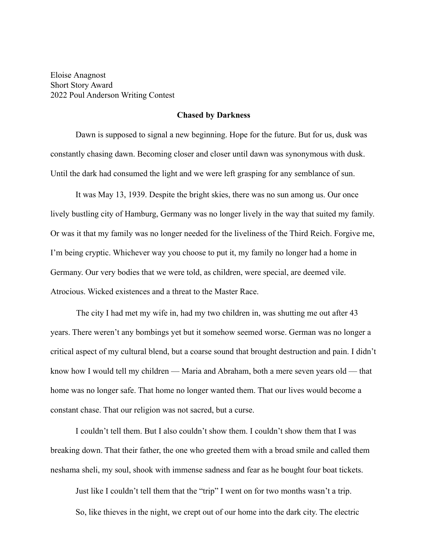Eloise Anagnost Short Story Award 2022 Poul Anderson Writing Contest

## **Chased by Darkness**

Dawn is supposed to signal a new beginning. Hope for the future. But for us, dusk was constantly chasing dawn. Becoming closer and closer until dawn was synonymous with dusk. Until the dark had consumed the light and we were left grasping for any semblance of sun.

It was May 13, 1939. Despite the bright skies, there was no sun among us. Our once lively bustling city of Hamburg, Germany was no longer lively in the way that suited my family. Or was it that my family was no longer needed for the liveliness of the Third Reich. Forgive me, I'm being cryptic. Whichever way you choose to put it, my family no longer had a home in Germany. Our very bodies that we were told, as children, were special, are deemed vile. Atrocious. Wicked existences and a threat to the Master Race.

The city I had met my wife in, had my two children in, was shutting me out after 43 years. There weren't any bombings yet but it somehow seemed worse. German was no longer a critical aspect of my cultural blend, but a coarse sound that brought destruction and pain. I didn't know how I would tell my children — Maria and Abraham, both a mere seven years old — that home was no longer safe. That home no longer wanted them. That our lives would become a constant chase. That our religion was not sacred, but a curse.

I couldn't tell them. But I also couldn't show them. I couldn't show them that I was breaking down. That their father, the one who greeted them with a broad smile and called them neshama sheli, my soul, shook with immense sadness and fear as he bought four boat tickets.

Just like I couldn't tell them that the "trip" I went on for two months wasn't a trip. So, like thieves in the night, we crept out of our home into the dark city. The electric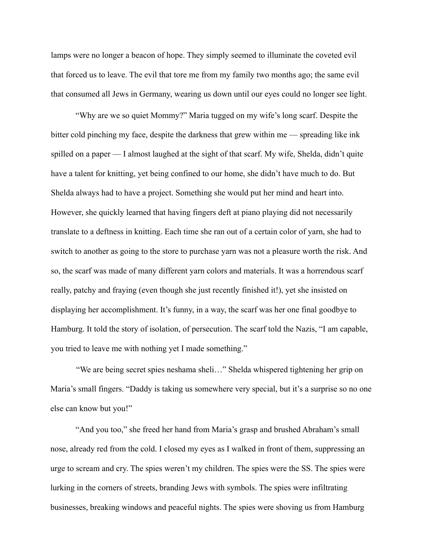lamps were no longer a beacon of hope. They simply seemed to illuminate the coveted evil that forced us to leave. The evil that tore me from my family two months ago; the same evil that consumed all Jews in Germany, wearing us down until our eyes could no longer see light.

"Why are we so quiet Mommy?" Maria tugged on my wife's long scarf. Despite the bitter cold pinching my face, despite the darkness that grew within me — spreading like ink spilled on a paper — I almost laughed at the sight of that scarf. My wife, Shelda, didn't quite have a talent for knitting, yet being confined to our home, she didn't have much to do. But Shelda always had to have a project. Something she would put her mind and heart into. However, she quickly learned that having fingers deft at piano playing did not necessarily translate to a deftness in knitting. Each time she ran out of a certain color of yarn, she had to switch to another as going to the store to purchase yarn was not a pleasure worth the risk. And so, the scarf was made of many different yarn colors and materials. It was a horrendous scarf really, patchy and fraying (even though she just recently finished it!), yet she insisted on displaying her accomplishment. It's funny, in a way, the scarf was her one final goodbye to Hamburg. It told the story of isolation, of persecution. The scarf told the Nazis, "I am capable, you tried to leave me with nothing yet I made something."

"We are being secret spies neshama sheli…" Shelda whispered tightening her grip on Maria's small fingers. "Daddy is taking us somewhere very special, but it's a surprise so no one else can know but you!"

"And you too," she freed her hand from Maria's grasp and brushed Abraham's small nose, already red from the cold. I closed my eyes as I walked in front of them, suppressing an urge to scream and cry. The spies weren't my children. The spies were the SS. The spies were lurking in the corners of streets, branding Jews with symbols. The spies were infiltrating businesses, breaking windows and peaceful nights. The spies were shoving us from Hamburg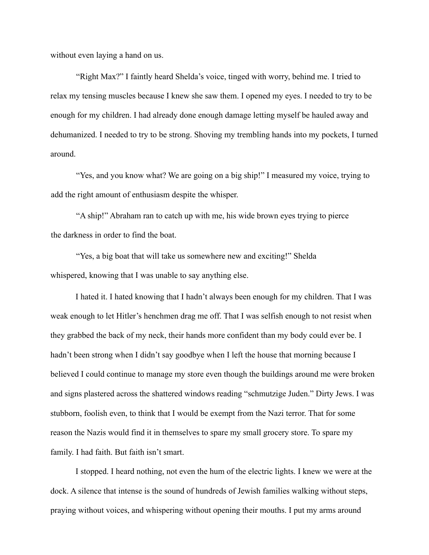without even laying a hand on us.

"Right Max?" I faintly heard Shelda's voice, tinged with worry, behind me. I tried to relax my tensing muscles because I knew she saw them. I opened my eyes. I needed to try to be enough for my children. I had already done enough damage letting myself be hauled away and dehumanized. I needed to try to be strong. Shoving my trembling hands into my pockets, I turned around.

"Yes, and you know what? We are going on a big ship!" I measured my voice, trying to add the right amount of enthusiasm despite the whisper.

"A ship!" Abraham ran to catch up with me, his wide brown eyes trying to pierce the darkness in order to find the boat.

"Yes, a big boat that will take us somewhere new and exciting!" Shelda whispered, knowing that I was unable to say anything else.

I hated it. I hated knowing that I hadn't always been enough for my children. That I was weak enough to let Hitler's henchmen drag me off. That I was selfish enough to not resist when they grabbed the back of my neck, their hands more confident than my body could ever be. I hadn't been strong when I didn't say goodbye when I left the house that morning because I believed I could continue to manage my store even though the buildings around me were broken and signs plastered across the shattered windows reading "schmutzige Juden." Dirty Jews. I was stubborn, foolish even, to think that I would be exempt from the Nazi terror. That for some reason the Nazis would find it in themselves to spare my small grocery store. To spare my family. I had faith. But faith isn't smart.

I stopped. I heard nothing, not even the hum of the electric lights. I knew we were at the dock. A silence that intense is the sound of hundreds of Jewish families walking without steps, praying without voices, and whispering without opening their mouths. I put my arms around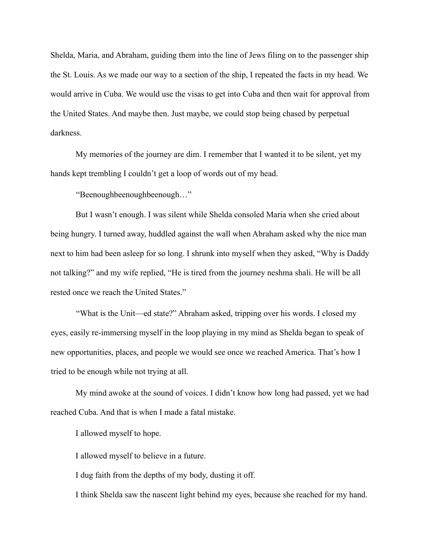Shelda, Maria, and Abraham, guiding them into the line of Jews filing on to the passenger ship the St. Louis. As we made our way to a section of the ship, I repeated the facts in my head. We would arrive in Cuba. We would use the visas to get into Cuba and then wait for approval from the United States. And maybe then. Just maybe, we could stop being chased by perpetual darkness.

My memories of the journey are dim. I remember that I wanted it to be silent, yet my hands kept trembling I couldn't get a loop of words out of my head.

"Beenoughbeenoughbeenough..."

But I wasn't enough. I was silent while Shelda consoled Maria when she cried about being hungry. I turned away, huddled against the wall when Abraham asked why the nice man next to him had been asleep for so long. I shrunk into myself when they asked, "Why is Daddy not talking?" and my wife replied, "He is tired from the journey neshma shali. He will be all rested once we reach the United States."

"What is the Unit—ed state?" Abraham asked, tripping over his words. I closed my eyes, easily re-immersing myself in the loop playing in my mind as Shelda began to speak of new opportunities, places, and people we would see once we reached America. That's how I tried to be enough while not trying at all.

My mind awoke at the sound of voices. I didn't know how long had passed, yet we had reached Cuba. And that is when I made a fatal mistake.

I allowed myself to hope.

I allowed myself to believe in a future.

I dug faith from the depths of my body, dusting it off.

I think Shelda saw the nascent light behind my eyes, because she reached for my hand.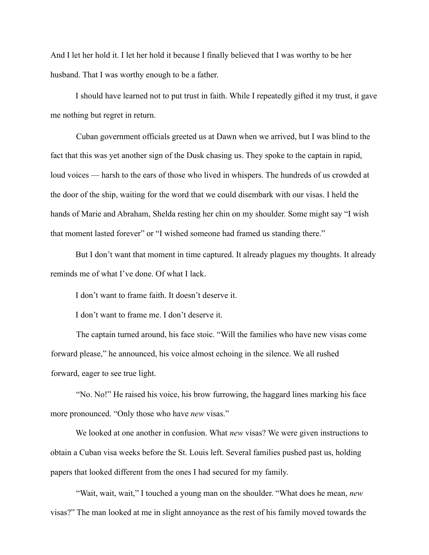And I let her hold it. I let her hold it because I finally believed that I was worthy to be her husband. That I was worthy enough to be a father.

I should have learned not to put trust in faith. While I repeatedly gifted it my trust, it gave me nothing but regret in return.

Cuban government officials greeted us at Dawn when we arrived, but I was blind to the fact that this was yet another sign of the Dusk chasing us. They spoke to the captain in rapid, loud voices — harsh to the ears of those who lived in whispers. The hundreds of us crowded at the door of the ship, waiting for the word that we could disembark with our visas. I held the hands of Marie and Abraham, Shelda resting her chin on my shoulder. Some might say "I wish that moment lasted forever" or "I wished someone had framed us standing there."

But I don't want that moment in time captured. It already plagues my thoughts. It already reminds me of what I've done. Of what I lack.

I don't want to frame faith. It doesn't deserve it.

I don't want to frame me. I don't deserve it.

The captain turned around, his face stoic. "Will the families who have new visas come forward please," he announced, his voice almost echoing in the silence. We all rushed forward, eager to see true light.

"No. No!" He raised his voice, his brow furrowing, the haggard lines marking his face more pronounced. "Only those who have *new* visas."

We looked at one another in confusion. What *new* visas? We were given instructions to obtain a Cuban visa weeks before the St. Louis left. Several families pushed past us, holding papers that looked different from the ones I had secured for my family.

"Wait, wait, wait," I touched a young man on the shoulder. "What does he mean, *new* visas?" The man looked at me in slight annoyance as the rest of his family moved towards the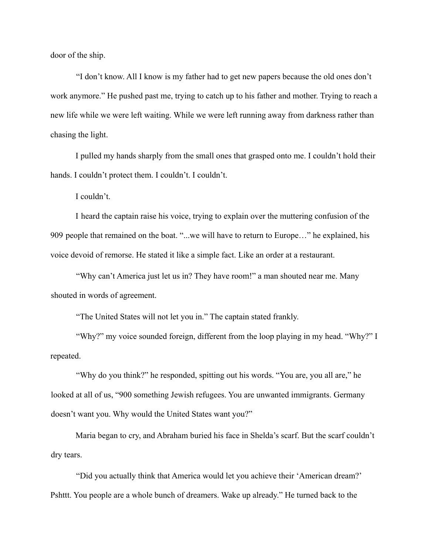door of the ship.

"I don't know. All I know is my father had to get new papers because the old ones don't work anymore." He pushed past me, trying to catch up to his father and mother. Trying to reach a new life while we were left waiting. While we were left running away from darkness rather than chasing the light.

I pulled my hands sharply from the small ones that grasped onto me. I couldn't hold their hands. I couldn't protect them. I couldn't. I couldn't.

I couldn't.

I heard the captain raise his voice, trying to explain over the muttering confusion of the 909 people that remained on the boat. "...we will have to return to Europe…" he explained, his voice devoid of remorse. He stated it like a simple fact. Like an order at a restaurant.

"Why can't America just let us in? They have room!" a man shouted near me. Many shouted in words of agreement.

"The United States will not let you in." The captain stated frankly.

"Why?" my voice sounded foreign, different from the loop playing in my head. "Why?" I repeated.

"Why do you think?" he responded, spitting out his words. "You are, you all are," he looked at all of us, "900 something Jewish refugees. You are unwanted immigrants. Germany doesn't want you. Why would the United States want you?"

Maria began to cry, and Abraham buried his face in Shelda's scarf. But the scarf couldn't dry tears.

"Did you actually think that America would let you achieve their 'American dream?' Pshttt. You people are a whole bunch of dreamers. Wake up already." He turned back to the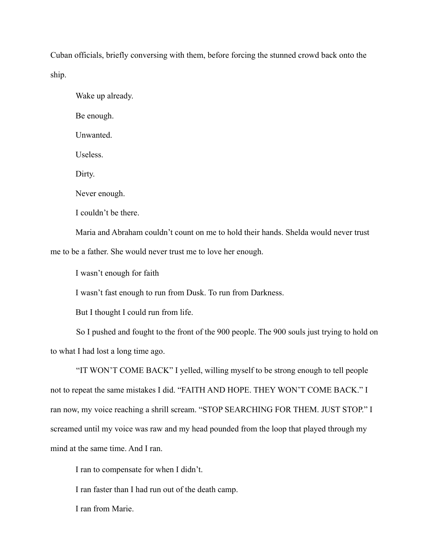Cuban officials, briefly conversing with them, before forcing the stunned crowd back onto the ship.

Wake up already. Be enough. Unwanted. Useless. Dirty. Never enough. I couldn't be there.

Maria and Abraham couldn't count on me to hold their hands. Shelda would never trust me to be a father. She would never trust me to love her enough.

I wasn't enough for faith

I wasn't fast enough to run from Dusk. To run from Darkness.

But I thought I could run from life.

So I pushed and fought to the front of the 900 people. The 900 souls just trying to hold on to what I had lost a long time ago.

"IT WON'T COME BACK" I yelled, willing myself to be strong enough to tell people not to repeat the same mistakes I did. "FAITH AND HOPE. THEY WON'T COME BACK." I ran now, my voice reaching a shrill scream. "STOP SEARCHING FOR THEM. JUST STOP." I screamed until my voice was raw and my head pounded from the loop that played through my mind at the same time. And I ran.

I ran to compensate for when I didn't.

I ran faster than I had run out of the death camp.

I ran from Marie.